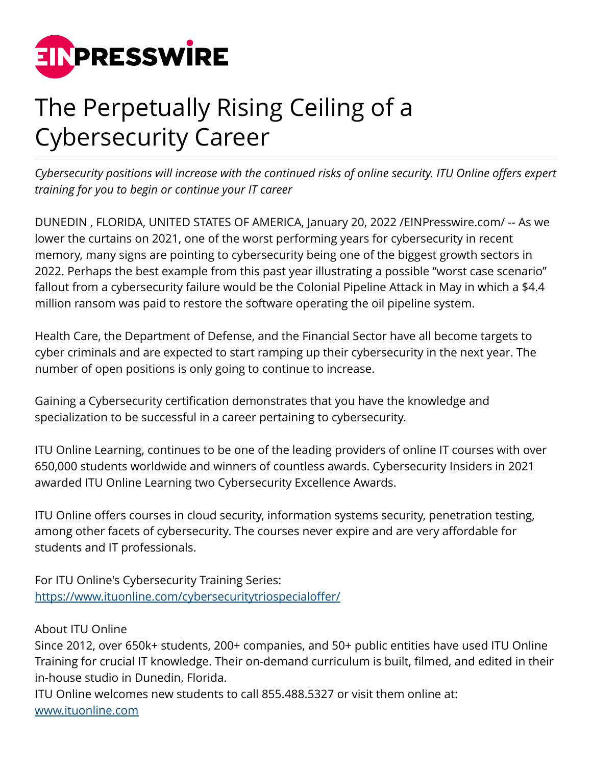

## The Perpetually Rising Ceiling of a Cybersecurity Career

*Cybersecurity positions will increase with the continued risks of online security. ITU Online offers expert training for you to begin or continue your IT career*

DUNEDIN , FLORIDA, UNITED STATES OF AMERICA, January 20, 2022 /[EINPresswire.com](http://www.einpresswire.com)/ -- As we lower the curtains on 2021, one of the worst performing years for cybersecurity in recent memory, many signs are pointing to cybersecurity being one of the biggest growth sectors in 2022. Perhaps the best example from this past year illustrating a possible "worst case scenario" fallout from a cybersecurity failure would be the Colonial Pipeline Attack in May in which a \$4.4 million ransom was paid to restore the software operating the oil pipeline system.

Health Care, the Department of Defense, and the Financial Sector have all become targets to cyber criminals and are expected to start ramping up their cybersecurity in the next year. The number of open positions is only going to continue to increase.

Gaining a Cybersecurity certification demonstrates that you have the knowledge and specialization to be successful in a career pertaining to cybersecurity.

ITU Online Learning, continues to be one of the leading providers of online IT courses with over 650,000 students worldwide and winners of countless awards. Cybersecurity Insiders in 2021 awarded ITU Online Learning two Cybersecurity Excellence Awards.

ITU Online offers courses in cloud security, information systems security, penetration testing, among other facets of cybersecurity. The courses never expire and are very affordable for students and IT professionals.

For ITU Online's Cybersecurity Training Series: [https://www.ituonline.com/cybersecuritytriospecialoffer/](http://www.ituonline.com/cybersecuritytriospecialoffer)

About ITU Online

Since 2012, over 650k+ students, 200+ companies, and 50+ public entities have used ITU Online Training for crucial IT knowledge. Their on-demand curriculum is built, filmed, and edited in their in-house studio in Dunedin, Florida.

ITU Online welcomes new students to call 855.488.5327 or visit them online at: [www.ituonline.com](http://www.ituonline.com)